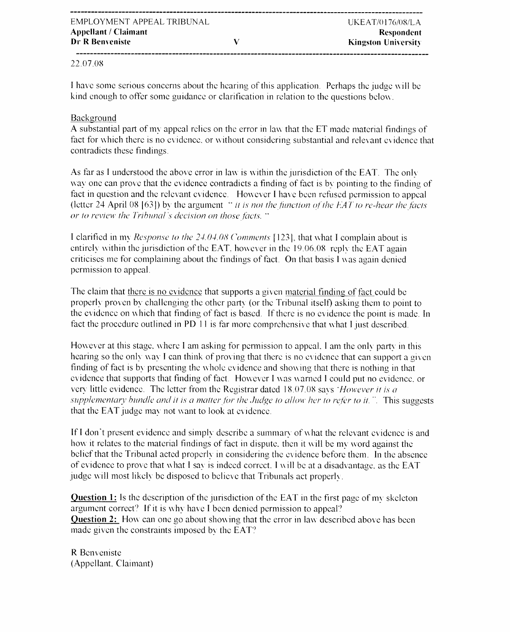## 22.07.08

I have some serious concerns about the hearing of this application. Perhaps the judge will be kind enough to offer some guidance or clarification in relation to the questions below.

 $\overline{\mathbf{V}}$ 

## Background

A substantial part of my appeal relies on the error in law that the ET made material findings of fact for which there is no evidence, or without considering substantial and relevant evidence that contradicts these findings.

As far as I understood the above error in law is within the jurisdiction of the EAT. The only way one can prove that the evidence contradicts a finding of fact is by pointing to the finding of fact in question and the relevant evidence. However I have been refused permission to appeal (letter  $24$  April 08 [63]) by the argument "it is not the function of the EAT to re-hear the facts or to review the Tribunal's decision on those facts. "

I clarified in my *Response to the 24.04.08 Comments* [123], that what I complain about is entirely within the jurisdiction of the EAT, however in the 19.06.08 reply the EAT again criticises me for complaining about the findings of fact. On that basis I was again denied permission to appeal.

The claim that there is no evidence that supports a given material finding of fact could be properly proven by challenging the other party (or the Tribunal itself) asking them to point to the evidence on which that finding of fact is based. If there is no evidence the point is made. In fact the procedure outlined in PD 11 is far more comprehensive that what I just described.

However at this stage, where I am asking for permission to appeal. I am the only party in this hearing so the only way I can think of proving that there is no evidence that can support a given finding of fact is by presenting the whole evidence and showing that there is nothing in that evidence that supports that finding of fact. However I was warned I could put no evidence, or very little evidence. The letter from the Registrar dated 18.07.08 says 'However it is a supplementary bundle and it is a matter for the Judge to allow her to refer to it.". This suggests that the EAT judge may not want to look at evidence.

If I don't present evidence and simply describe a summary of what the relevant evidence is and how it relates to the material findings of fact in dispute, then it will be my word against the belief that the Tribunal acted properly in considering the evidence before them. In the absence of evidence to prove that what I say is indeed correct. I will be at a disadvantage, as the EAT judge will most likely be disposed to believe that Tribunals act properly.

**Question 1:** Is the description of the jurisdiction of the EAT in the first page of my skeleton argument correct? If it is why have I been denied permission to appeal? Question 2: How can one go about showing that the error in law described above has been made given the constraints imposed by the EAT?

R Benveniste (Appellant, Claimant)